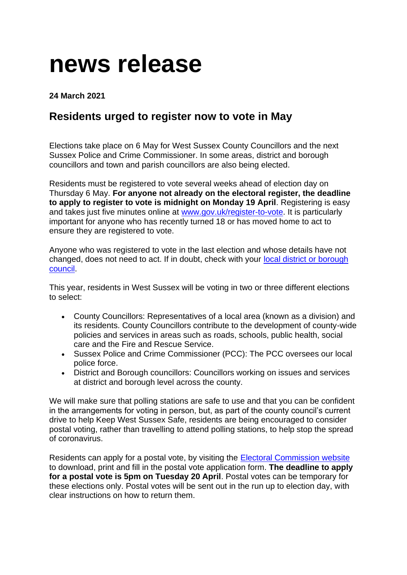## **news release**

## **24 March 2021**

## **Residents urged to register now to vote in May**

Elections take place on 6 May for West Sussex County Councillors and the next Sussex Police and Crime Commissioner. In some areas, district and borough councillors and town and parish councillors are also being elected.

Residents must be registered to vote several weeks ahead of election day on Thursday 6 May. **For anyone not already on the electoral register, the deadline to apply to register to vote is midnight on Monday 19 April**. Registering is easy and takes just five minutes online at<www.gov.uk/register-to-vote.> It is particularly important for anyone who has recently turned 18 or has moved home to act to ensure they are registered to vote.

Anyone who was registered to vote in the last election and whose details have not changed, does not need to act. If in doubt, check with your [local district or borough](https://www.westsussex.gov.uk/about-the-council/your-other-local-councils/district-and-borough-councils/?Keyword=)  [council.](https://www.westsussex.gov.uk/about-the-council/your-other-local-councils/district-and-borough-councils/?Keyword=)

This year, residents in West Sussex will be voting in two or three different elections to select:

- County Councillors: Representatives of a local area (known as a division) and its residents. County Councillors contribute to the development of county-wide policies and services in areas such as roads, schools, public health, social care and the Fire and Rescue Service.
- Sussex Police and Crime Commissioner (PCC): The PCC oversees our local police force.
- District and Borough councillors: Councillors working on issues and services at district and borough level across the county.

We will make sure that polling stations are safe to use and that you can be confident in the arrangements for voting in person, but, as part of the county council's current drive to help Keep West Sussex Safe, residents are being encouraged to consider postal voting, rather than travelling to attend polling stations, to help stop the spread of coronavirus.

Residents can apply for a postal vote, by visiting the [Electoral Commission website](https://www.electoralcommission.org.uk/i-am-a/voter/voting-person-post-or-proxy/voting-post) to download, print and fill in the postal vote application form. **The deadline to apply for a postal vote is 5pm on Tuesday 20 April**. Postal votes can be temporary for these elections only. Postal votes will be sent out in the run up to election day, with clear instructions on how to return them.